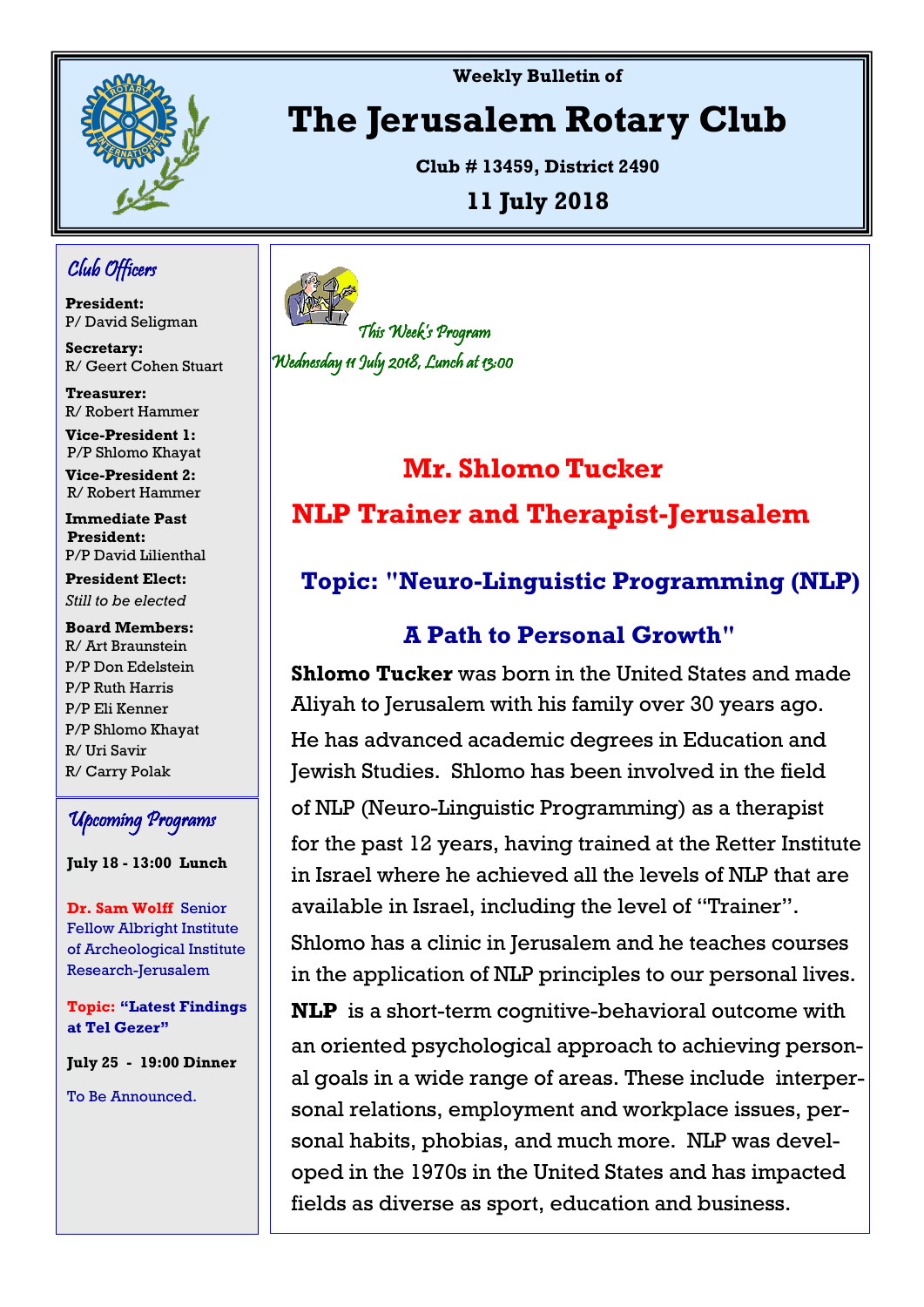

**Weekly Bulletin of** 

# **The Jerusalem Rotary Club**

**Club # 13459, District 2490**

## **11 July 2018**

## Club Officers

**President:**  P/ David Seligman

**Secretary:**  R/ Geert Cohen Stuart

**Treasurer:** R/ Robert Hammer

**Vice-President 1:** P/P Shlomo Khayat

**Vice-President 2:** R/ Robert Hammer

**Immediate Past President:**  P/P David Lilienthal

**President Elect:** *Still to be elected*

**Board Members:** R/ Art Braunstein P/P Don Edelstein P/P Ruth Harris P/P Eli Kenner P/P Shlomo Khayat R/ Uri Savir R/ Carry Polak

## Upcoming Programs

**July 18 - 13:00 Lunch**

**Dr. Sam Wolff** Senior Fellow Albright Institute of Archeological Institute Research-Jerusalem

**Topic: "Latest Findings at Tel Gezer"** 

**July 25 - 19:00 Dinner** 

To Be Announced.



# **Mr. Shlomo Tucker NLP Trainer and Therapist-Jerusalem**

# **Topic: "Neuro-Linguistic Programming (NLP)**

## **A Path to Personal Growth"**

**Shlomo Tucker** was born in the United States and made Aliyah to Jerusalem with his family over 30 years ago. He has advanced academic degrees in Education and Jewish Studies. Shlomo has been involved in the field of NLP (Neuro-Linguistic Programming) as a therapist for the past 12 years, having trained at the Retter Institute in Israel where he achieved all the levels of NLP that are available in Israel, including the level of "Trainer".

Shlomo has a clinic in Jerusalem and he teaches courses in the application of NLP principles to our personal lives.

**NLP** is a short-term cognitive-behavioral outcome with an oriented psychological approach to achieving personal goals in a wide range of areas. These include interpersonal relations, employment and workplace issues, personal habits, phobias, and much more. NLP was developed in the 1970s in the United States and has impacted fields as diverse as sport, education and business.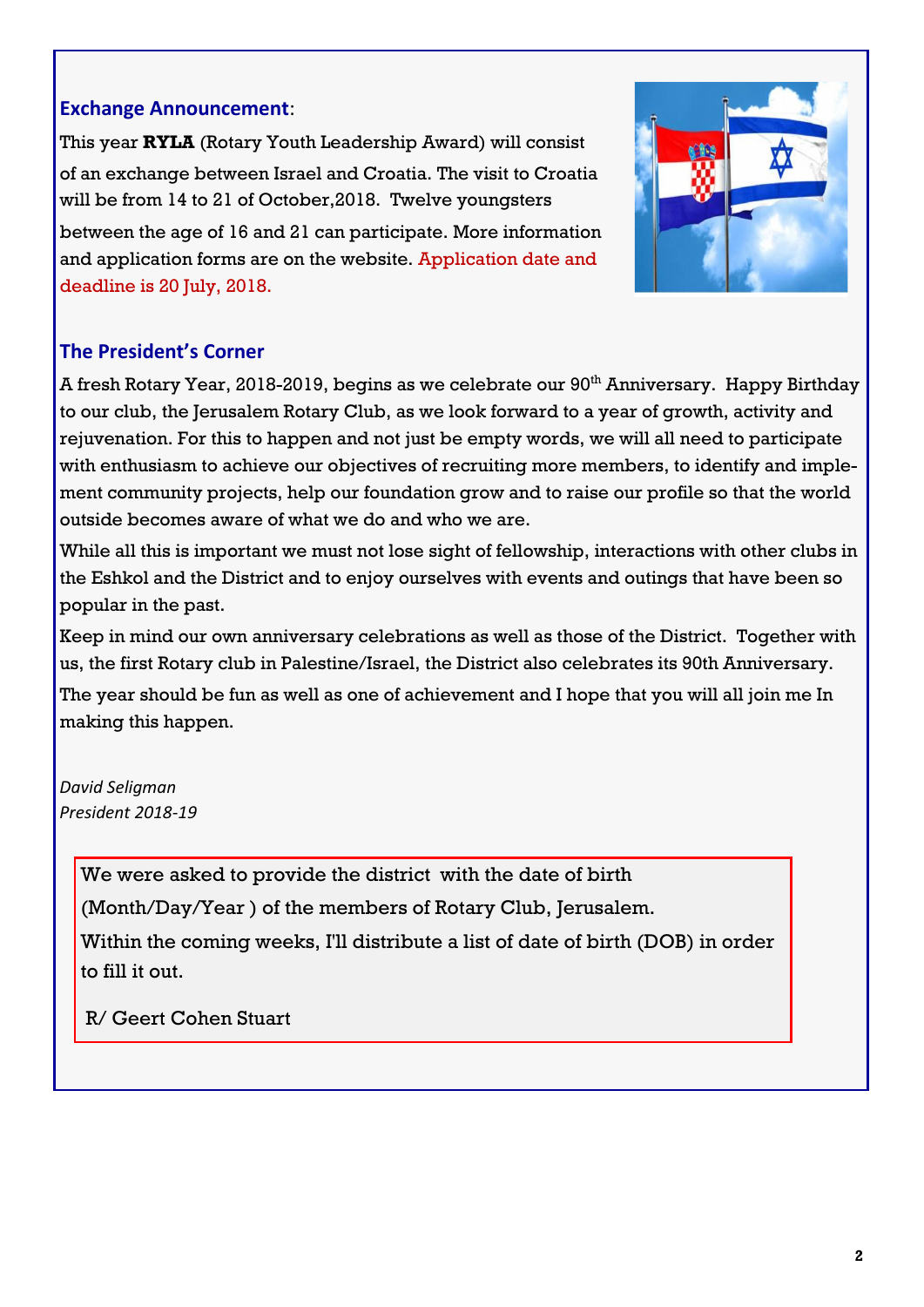### **Exchange Announcement**:

This year **RYLA** (Rotary Youth Leadership Award) will consist of an exchange between Israel and Croatia. The visit to Croatia will be from 14 to 21 of October,2018. Twelve youngsters between the age of 16 and 21 can participate. More information and application forms are on the website. Application date and deadline is 20 July, 2018.



## **The President's Corner**

A fresh Rotary Year, 2018-2019, begins as we celebrate our 90<sup>th</sup> Anniversary. Happy Birthday to our club, the Jerusalem Rotary Club, as we look forward to a year of growth, activity and rejuvenation. For this to happen and not just be empty words, we will all need to participate with enthusiasm to achieve our objectives of recruiting more members, to identify and implement community projects, help our foundation grow and to raise our profile so that the world outside becomes aware of what we do and who we are.

While all this is important we must not lose sight of fellowship, interactions with other clubs in the Eshkol and the District and to enjoy ourselves with events and outings that have been so popular in the past.

Keep in mind our own anniversary celebrations as well as those of the District. Together with us, the first Rotary club in Palestine/Israel, the District also celebrates its 90th Anniversary.

The year should be fun as well as one of achievement and I hope that you will all join me In making this happen.

*David Seligman President 2018-19*

We were asked to provide the district with the date of birth

(Month/Day/Year ) of the members of Rotary Club, Jerusalem.

Within the coming weeks, I'll distribute a list of date of birth (DOB) in order to fill it out.

R/ Geert Cohen Stuart